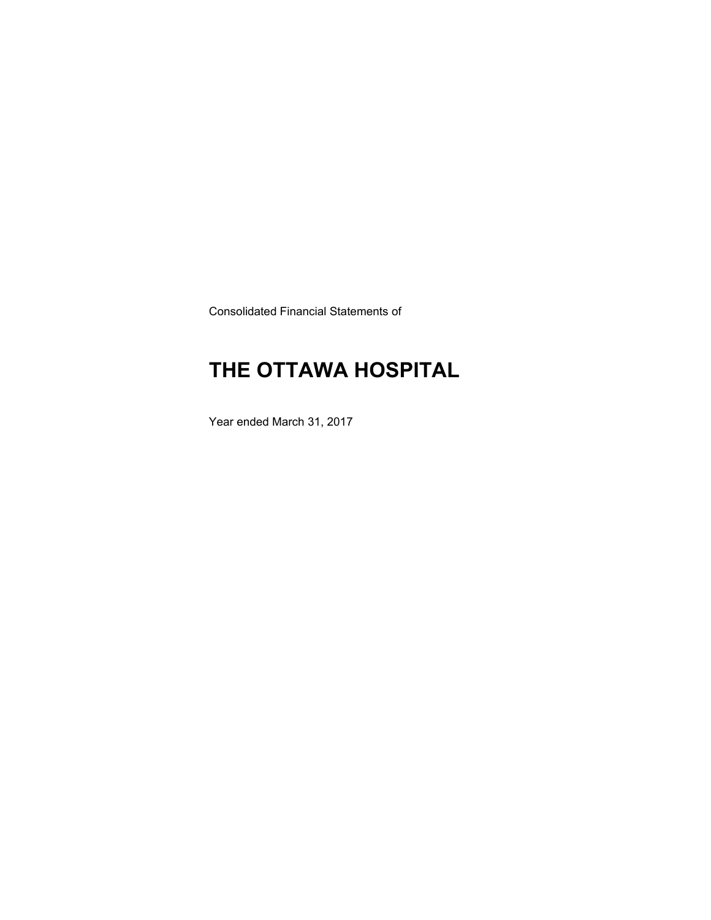Consolidated Financial Statements of

# **THE OTTAWA HOSPITAL**

Year ended March 31, 2017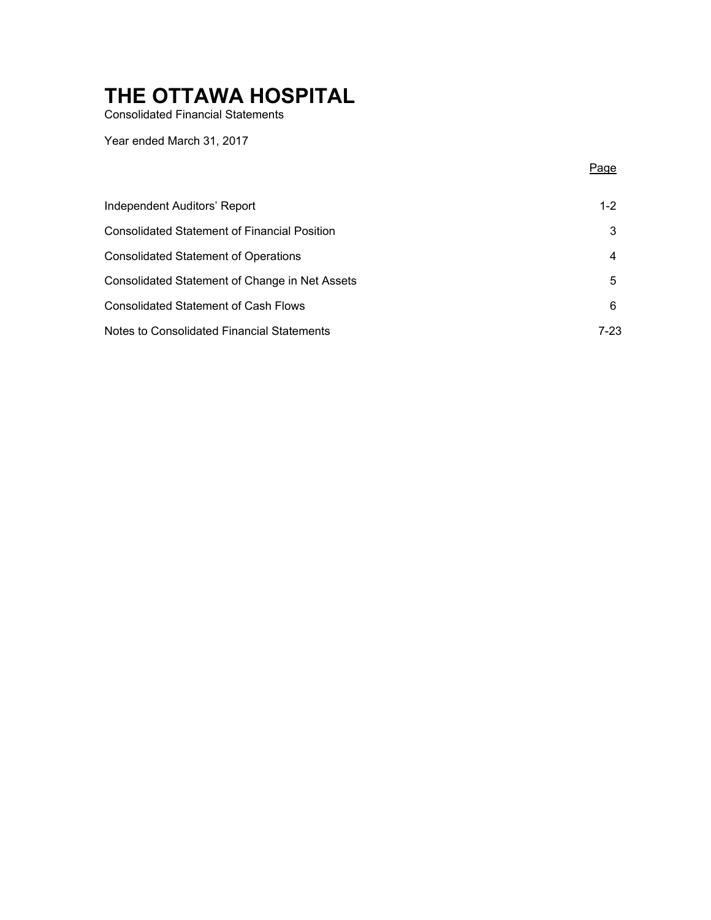Consolidated Financial Statements

Year ended March 31, 2017

Page

| Independent Auditors' Report                        | $1 - 2$ |
|-----------------------------------------------------|---------|
| <b>Consolidated Statement of Financial Position</b> | 3       |
| <b>Consolidated Statement of Operations</b>         |         |
| Consolidated Statement of Change in Net Assets      | 5       |
| <b>Consolidated Statement of Cash Flows</b>         | 6       |
| Notes to Consolidated Financial Statements          | 7-23    |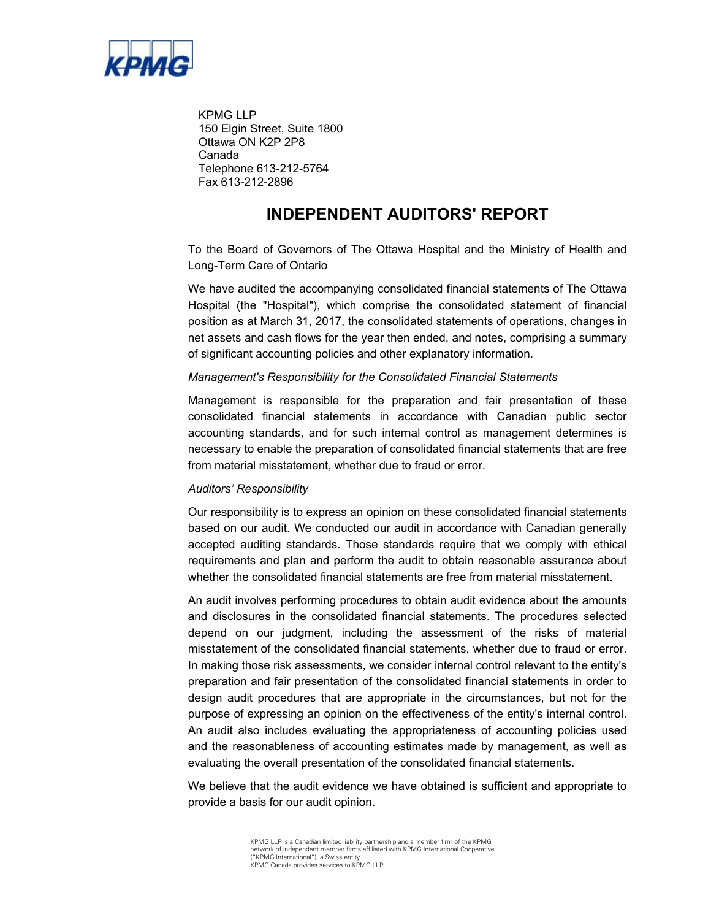

KPMG LLP 150 Elgin Street, Suite 1800 Ottawa ON K2P 2P8 Canada Telephone 613-212-5764 Fax 613-212-2896

### **INDEPENDENT AUDITORS' REPORT**

 To the Board of Governors of The Ottawa Hospital and the Ministry of Health and Long-Term Care of Ontario

 Hospital (the "Hospital"), which comprise the consolidated statement of financial position as at March 31, 2017, the consolidated statements of operations, changes in We have audited the accompanying consolidated financial statements of The Ottawa net assets and cash flows for the year then ended, and notes, comprising a summary of significant accounting policies and other explanatory information.

### *Management's Responsibility for the Consolidated Financial Statements*

 consolidated financial statements in accordance with Canadian public sector accounting standards, and for such internal control as management determines is necessary to enable the preparation of consolidated financial statements that are free Management is responsible for the preparation and fair presentation of these from material misstatement, whether due to fraud or error.

#### *Auditors' Responsibility*

 Our responsibility is to express an opinion on these consolidated financial statements based on our audit. We conducted our audit in accordance with Canadian generally accepted auditing standards. Those standards require that we comply with ethical requirements and plan and perform the audit to obtain reasonable assurance about whether the consolidated financial statements are free from material misstatement.

 An audit involves performing procedures to obtain audit evidence about the amounts depend on our judgment, including the assessment of the risks of material In making those risk assessments, we consider internal control relevant to the entity's An audit also includes evaluating the appropriateness of accounting policies used and disclosures in the consolidated financial statements. The procedures selected misstatement of the consolidated financial statements, whether due to fraud or error. preparation and fair presentation of the consolidated financial statements in order to design audit procedures that are appropriate in the circumstances, but not for the purpose of expressing an opinion on the effectiveness of the entity's internal control. and the reasonableness of accounting estimates made by management, as well as evaluating the overall presentation of the consolidated financial statements.

 We believe that the audit evidence we have obtained is sufficient and appropriate to provide a basis for our audit opinion.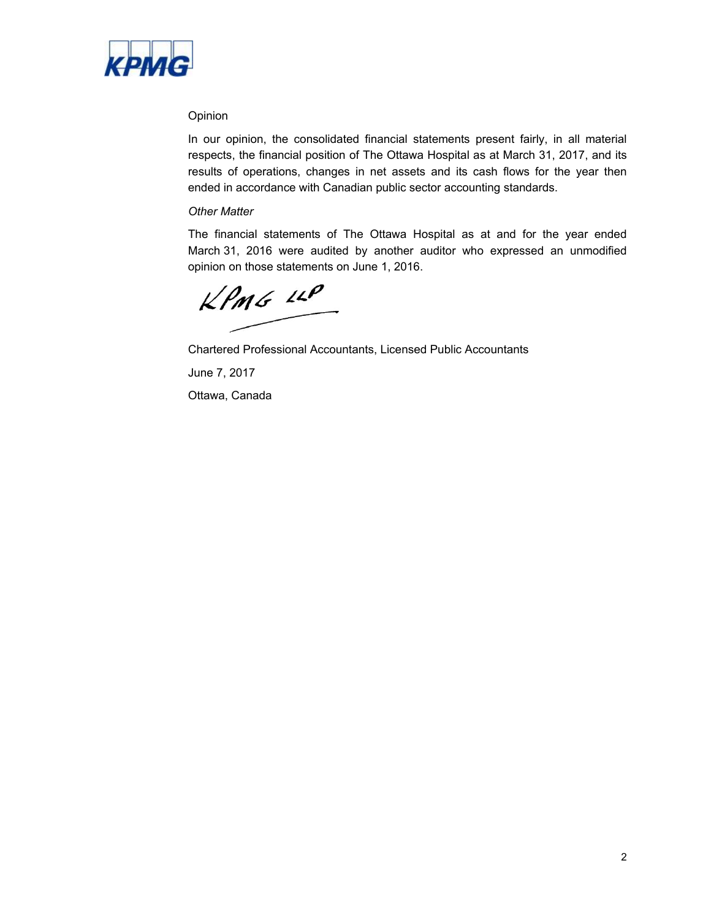

### Opinion

 ended in accordance with Canadian public sector accounting standards. In our opinion, the consolidated financial statements present fairly, in all material respects, the financial position of The Ottawa Hospital as at March 31, 2017, and its results of operations, changes in net assets and its cash flows for the year then

### *Other Matter*

 The financial statements of The Ottawa Hospital as at and for the year ended March 31, 2016 were audited by another auditor who expressed an unmodified opinion on those statements on June 1, 2016.

 $KPMG$  14P

Chartered Professional Accountants, Licensed Public Accountants

June 7, 2017

Ottawa, Canada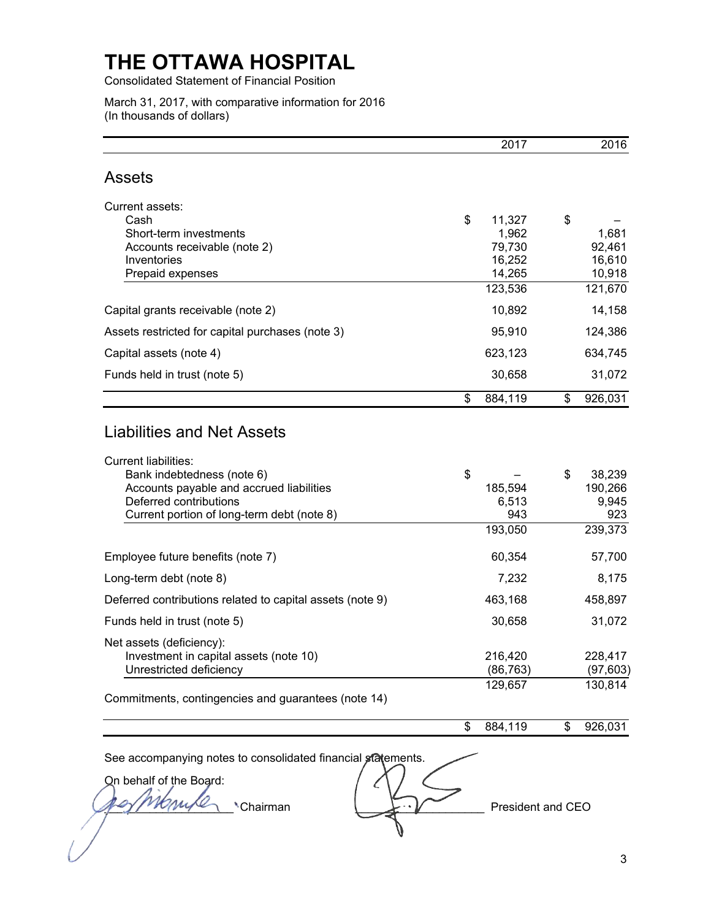Consolidated Statement of Financial Position

 March 31, 2017, with comparative information for 2016 (In thousands of dollars)

|                                                                        | 2017              | 2016                    |
|------------------------------------------------------------------------|-------------------|-------------------------|
| <b>Assets</b>                                                          |                   |                         |
| Current assets:                                                        |                   |                         |
| Cash                                                                   | \$<br>11,327      | \$                      |
| Short-term investments                                                 | 1,962             | 1,681                   |
| Accounts receivable (note 2)                                           | 79,730            | 92,461                  |
| Inventories                                                            | 16,252            | 16,610                  |
| Prepaid expenses                                                       | 14,265            | 10,918                  |
|                                                                        | 123,536           | 121,670                 |
| Capital grants receivable (note 2)                                     | 10,892            | 14,158                  |
| Assets restricted for capital purchases (note 3)                       | 95,910            | 124,386                 |
| Capital assets (note 4)                                                | 623,123           | 634,745                 |
| Funds held in trust (note 5)                                           | 30,658            | 31,072                  |
|                                                                        | \$<br>884,119     | \$<br>926,031           |
| Liabilities and Net Assets                                             |                   |                         |
| <b>Current liabilities:</b>                                            | \$                |                         |
| Bank indebtedness (note 6)<br>Accounts payable and accrued liabilities | 185,594           | \$<br>38,239<br>190,266 |
| Deferred contributions                                                 | 6,513             | 9,945                   |
| Current portion of long-term debt (note 8)                             | 943               | 923                     |
|                                                                        | 193,050           | 239,373                 |
| Employee future benefits (note 7)                                      | 60,354            | 57,700                  |
| Long-term debt (note 8)                                                | 7,232             | 8,175                   |
| Deferred contributions related to capital assets (note 9)              | 463,168           | 458,897                 |
| Funds held in trust (note 5)                                           | 30,658            | 31,072                  |
| Net assets (deficiency):                                               |                   |                         |
| Investment in capital assets (note 10)                                 | 216,420           | 228,417                 |
| Unrestricted deficiency                                                | (86, 763)         | (97, 603)               |
| Commitments, contingencies and guarantees (note 14)                    | 129,657           | 130,814                 |
|                                                                        | \$<br>884,119     | \$<br>926,031           |
| See accompanying notes to consolidated financial statements.           |                   |                         |
| On behalf of the Board:                                                |                   |                         |
| Chairman                                                               | President and CEO |                         |
|                                                                        |                   |                         |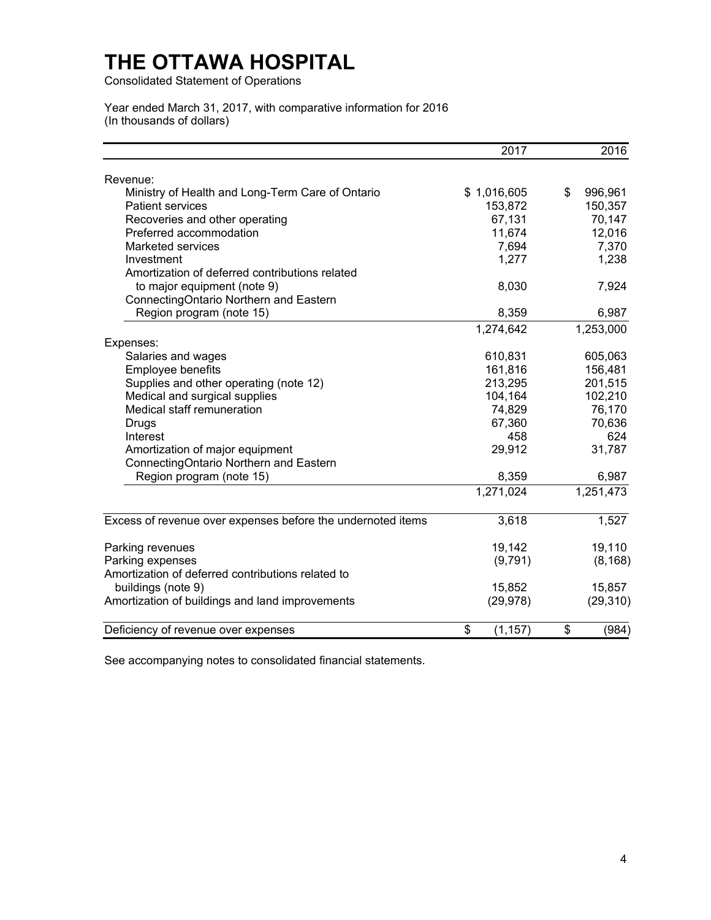Consolidated Statement of Operations

Year ended March 31, 2017, with comparative information for 2016 (In thousands of dollars)

|                                                             | 2017           | 2016          |
|-------------------------------------------------------------|----------------|---------------|
| Revenue:                                                    |                |               |
| Ministry of Health and Long-Term Care of Ontario            | \$1,016,605    | \$<br>996,961 |
| <b>Patient services</b>                                     | 153,872        | 150,357       |
| Recoveries and other operating                              | 67,131         | 70,147        |
| Preferred accommodation                                     | 11,674         | 12,016        |
| Marketed services                                           | 7,694          | 7,370         |
| Investment                                                  | 1,277          | 1,238         |
| Amortization of deferred contributions related              |                |               |
| to major equipment (note 9)                                 | 8,030          | 7,924         |
| ConnectingOntario Northern and Eastern                      |                |               |
| Region program (note 15)                                    | 8,359          | 6,987         |
|                                                             | 1,274,642      | 1,253,000     |
| Expenses:                                                   |                |               |
| Salaries and wages                                          | 610,831        | 605,063       |
| Employee benefits                                           | 161,816        | 156,481       |
| Supplies and other operating (note 12)                      | 213,295        | 201,515       |
| Medical and surgical supplies                               | 104,164        | 102,210       |
| Medical staff remuneration                                  | 74,829         | 76,170        |
| Drugs                                                       | 67,360         | 70,636        |
| Interest                                                    | 458            | 624           |
| Amortization of major equipment                             | 29,912         | 31,787        |
| ConnectingOntario Northern and Eastern                      |                |               |
| Region program (note 15)                                    | 8,359          | 6,987         |
|                                                             | 1,271,024      | 1,251,473     |
| Excess of revenue over expenses before the undernoted items | 3,618          | 1,527         |
| Parking revenues                                            | 19,142         | 19,110        |
| Parking expenses                                            | (9,791)        | (8, 168)      |
| Amortization of deferred contributions related to           |                |               |
| buildings (note 9)                                          | 15,852         | 15,857        |
| Amortization of buildings and land improvements             | (29, 978)      | (29, 310)     |
| Deficiency of revenue over expenses                         | \$<br>(1, 157) | \$<br>(984)   |
|                                                             |                |               |

See accompanying notes to consolidated financial statements.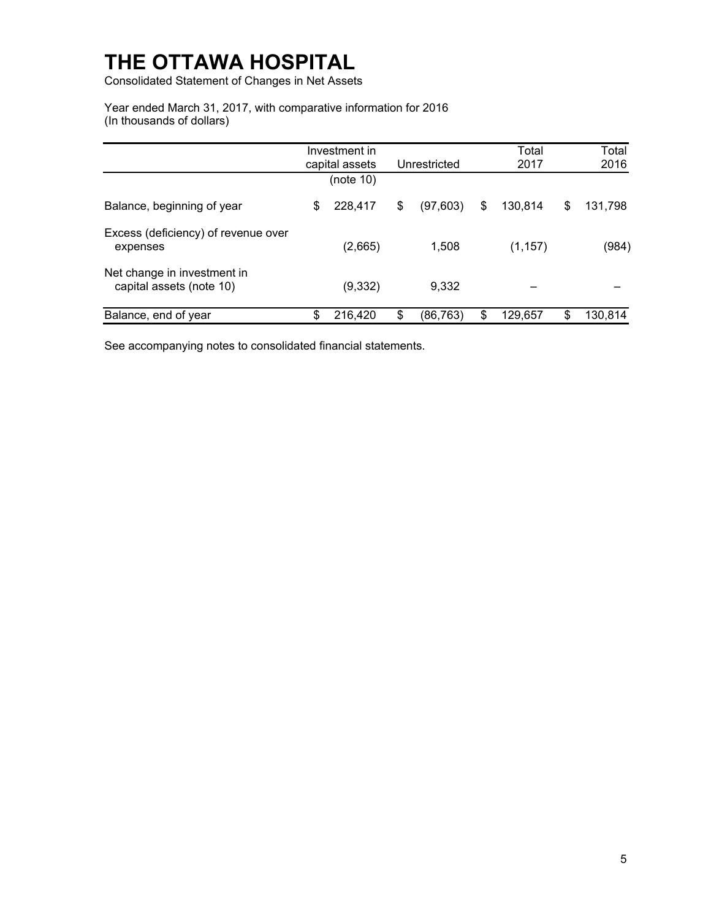Consolidated Statement of Changes in Net Assets

 Year ended March 31, 2017, with comparative information for 2016 (In thousands of dollars)

|                                                         | Investment in<br>capital assets | Unrestricted    | Total<br>2017 |    | Total<br>2016 |
|---------------------------------------------------------|---------------------------------|-----------------|---------------|----|---------------|
|                                                         | (note 10)                       |                 |               |    |               |
| Balance, beginning of year                              | \$<br>228,417                   | \$<br>(97, 603) | \$<br>130,814 | \$ | 131,798       |
| Excess (deficiency) of revenue over<br>expenses         | (2,665)                         | 1,508           | (1, 157)      |    | (984)         |
| Net change in investment in<br>capital assets (note 10) | (9, 332)                        | 9,332           |               |    |               |
| Balance, end of year                                    | \$<br>216,420                   | \$<br>(86, 763) | \$<br>129,657 | S  | 130,814       |

See accompanying notes to consolidated financial statements.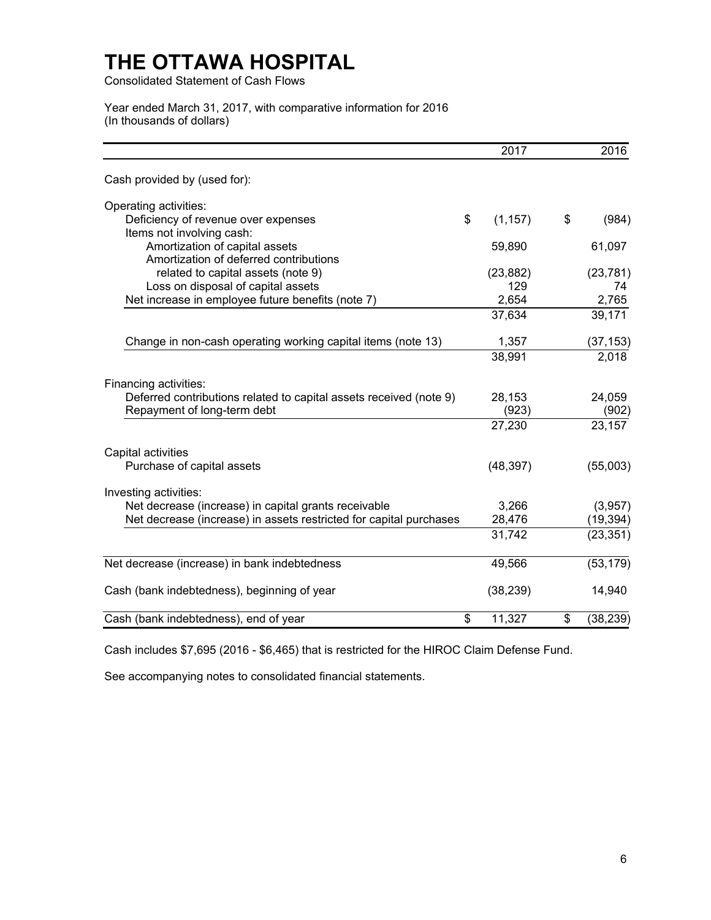Consolidated Statement of Cash Flows

 Year ended March 31, 2017, with comparative information for 2016 (In thousands of dollars)

|                                                                    | 2017           | 2016            |
|--------------------------------------------------------------------|----------------|-----------------|
| Cash provided by (used for):                                       |                |                 |
| Operating activities:                                              |                |                 |
| Deficiency of revenue over expenses                                | \$<br>(1, 157) | \$<br>(984)     |
| Items not involving cash:                                          |                |                 |
| Amortization of capital assets                                     | 59,890         | 61,097          |
| Amortization of deferred contributions                             |                |                 |
| related to capital assets (note 9)                                 | (23, 882)      | (23, 781)       |
| Loss on disposal of capital assets                                 | 129            | 74              |
| Net increase in employee future benefits (note 7)                  | 2,654          | 2,765           |
|                                                                    | 37,634         | 39,171          |
| Change in non-cash operating working capital items (note 13)       | 1,357          | (37, 153)       |
|                                                                    | 38,991         | 2,018           |
| Financing activities:                                              |                |                 |
| Deferred contributions related to capital assets received (note 9) | 28,153         | 24,059          |
| Repayment of long-term debt                                        | (923)          | (902)           |
|                                                                    | 27,230         | 23,157          |
| Capital activities                                                 |                |                 |
| Purchase of capital assets                                         | (48, 397)      | (55,003)        |
| Investing activities:                                              |                |                 |
| Net decrease (increase) in capital grants receivable               | 3,266          | (3,957)         |
| Net decrease (increase) in assets restricted for capital purchases | 28,476         | (19, 394)       |
|                                                                    | 31,742         | (23, 351)       |
| Net decrease (increase) in bank indebtedness                       | 49,566         | (53, 179)       |
| Cash (bank indebtedness), beginning of year                        | (38, 239)      | 14,940          |
| \$<br>Cash (bank indebtedness), end of year                        | 11,327         | \$<br>(38, 239) |

Cash includes \$7,695 (2016 - \$6,465) that is restricted for the HIROC Claim Defense Fund.

See accompanying notes to consolidated financial statements.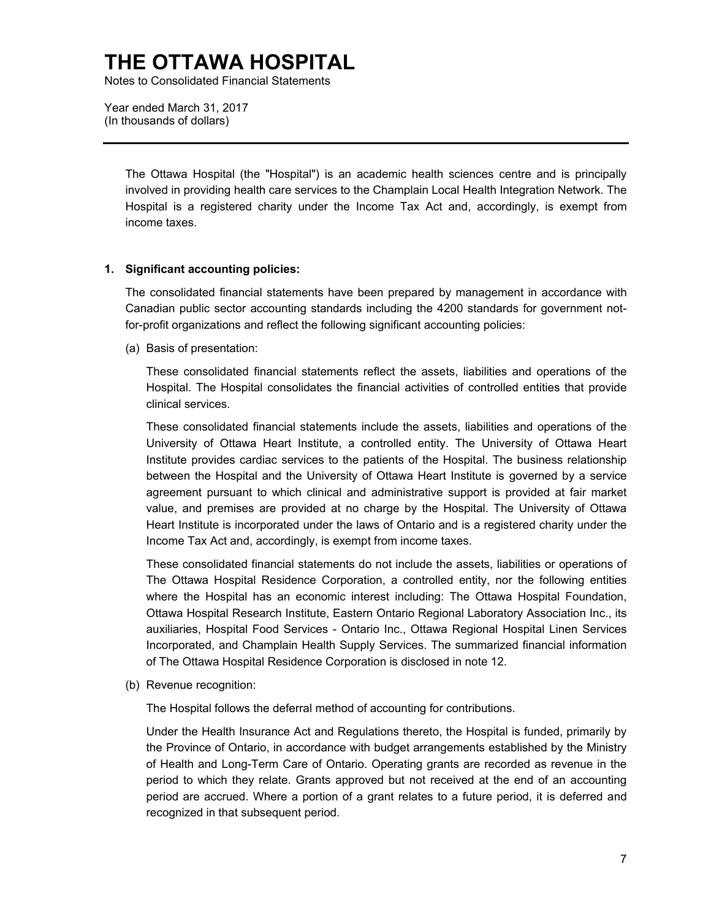Notes to Consolidated Financial Statements

 Year ended March 31, 2017 (In thousands of dollars)

> The Ottawa Hospital (the "Hospital") is an academic health sciences centre and is principally involved in providing health care services to the Champlain Local Health Integration Network. The Hospital is a registered charity under the Income Tax Act and, accordingly, is exempt from income taxes.

### **1. Significant accounting policies:**

 The consolidated financial statements have been prepared by management in accordance with Canadian public sector accounting standards including the 4200 standards for government notfor-profit organizations and reflect the following significant accounting policies:

(a) Basis of presentation:

 Hospital. The Hospital consolidates the financial activities of controlled entities that provide These consolidated financial statements reflect the assets, liabilities and operations of the clinical services.

 University of Ottawa Heart Institute, a controlled entity. The University of Ottawa Heart value, and premises are provided at no charge by the Hospital. The University of Ottawa Heart Institute is incorporated under the laws of Ontario and is a registered charity under the These consolidated financial statements include the assets, liabilities and operations of the Institute provides cardiac services to the patients of the Hospital. The business relationship between the Hospital and the University of Ottawa Heart Institute is governed by a service agreement pursuant to which clinical and administrative support is provided at fair market Income Tax Act and, accordingly, is exempt from income taxes.

 The Ottawa Hospital Residence Corporation, a controlled entity, nor the following entities Ottawa Hospital Research Institute, Eastern Ontario Regional Laboratory Association Inc., its Incorporated, and Champlain Health Supply Services. The summarized financial information These consolidated financial statements do not include the assets, liabilities or operations of where the Hospital has an economic interest including: The Ottawa Hospital Foundation, auxiliaries, Hospital Food Services - Ontario Inc., Ottawa Regional Hospital Linen Services of The Ottawa Hospital Residence Corporation is disclosed in note 12.

(b) Revenue recognition:

The Hospital follows the deferral method of accounting for contributions.

 of Health and Long-Term Care of Ontario. Operating grants are recorded as revenue in the period to which they relate. Grants approved but not received at the end of an accounting period are accrued. Where a portion of a grant relates to a future period, it is deferred and Under the Health Insurance Act and Regulations thereto, the Hospital is funded, primarily by the Province of Ontario, in accordance with budget arrangements established by the Ministry recognized in that subsequent period.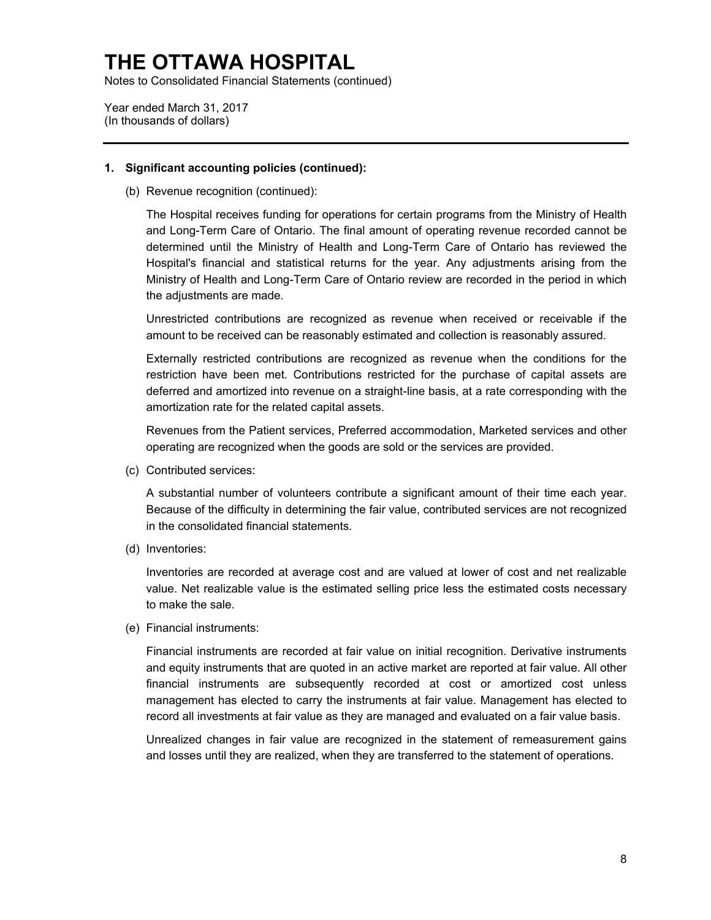Notes to Consolidated Financial Statements (continued)

 Year ended March 31, 2017 (In thousands of dollars)

#### **1. Significant accounting policies (continued):**

(b) Revenue recognition (continued):

 determined until the Ministry of Health and Long-Term Care of Ontario has reviewed the Hospital's financial and statistical returns for the year. Any adjustments arising from the Ministry of Health and Long-Term Care of Ontario review are recorded in the period in which The Hospital receives funding for operations for certain programs from the Ministry of Health and Long-Term Care of Ontario. The final amount of operating revenue recorded cannot be the adjustments are made.

Unrestricted contributions are recognized as revenue when received or receivable if the amount to be received can be reasonably estimated and collection is reasonably assured.

 restriction have been met. Contributions restricted for the purchase of capital assets are Externally restricted contributions are recognized as revenue when the conditions for the deferred and amortized into revenue on a straight-line basis, at a rate corresponding with the amortization rate for the related capital assets.

 Revenues from the Patient services, Preferred accommodation, Marketed services and other operating are recognized when the goods are sold or the services are provided.

(c) Contributed services:

 Because of the difficulty in determining the fair value, contributed services are not recognized A substantial number of volunteers contribute a significant amount of their time each year. in the consolidated financial statements.

(d) Inventories:

 Inventories are recorded at average cost and are valued at lower of cost and net realizable value. Net realizable value is the estimated selling price less the estimated costs necessary to make the sale.

(e) Financial instruments:

 and equity instruments that are quoted in an active market are reported at fair value. All other financial instruments are subsequently recorded at cost or amortized cost unless management has elected to carry the instruments at fair value. Management has elected to Financial instruments are recorded at fair value on initial recognition. Derivative instruments record all investments at fair value as they are managed and evaluated on a fair value basis.

 Unrealized changes in fair value are recognized in the statement of remeasurement gains and losses until they are realized, when they are transferred to the statement of operations.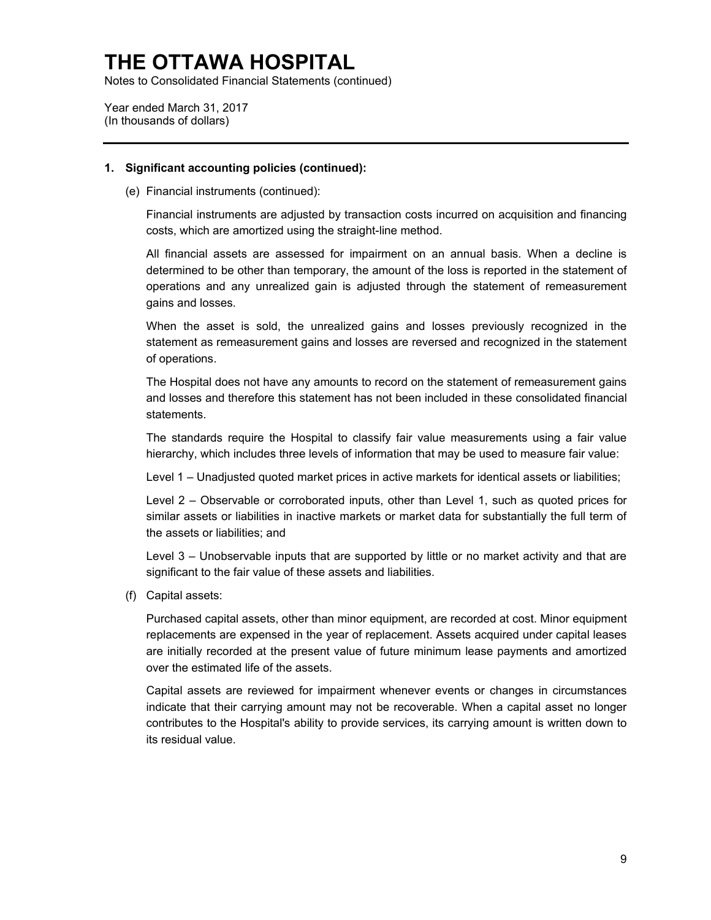Notes to Consolidated Financial Statements (continued)

Year ended March 31, 2017 (In thousands of dollars)

#### **1. Significant accounting policies (continued):**

(e) Financial instruments (continued):

Financial instruments are adjusted by transaction costs incurred on acquisition and financing costs, which are amortized using the straight-line method.

 All financial assets are assessed for impairment on an annual basis. When a decline is determined to be other than temporary, the amount of the loss is reported in the statement of operations and any unrealized gain is adjusted through the statement of remeasurement gains and losses.

 statement as remeasurement gains and losses are reversed and recognized in the statement When the asset is sold, the unrealized gains and losses previously recognized in the of operations.

 and losses and therefore this statement has not been included in these consolidated financial The Hospital does not have any amounts to record on the statement of remeasurement gains statements.

The standards require the Hospital to classify fair value measurements using a fair value hierarchy, which includes three levels of information that may be used to measure fair value:

Level 1 – Unadjusted quoted market prices in active markets for identical assets or liabilities;

 Level 2 – Observable or corroborated inputs, other than Level 1, such as quoted prices for similar assets or liabilities in inactive markets or market data for substantially the full term of the assets or liabilities; and

 Level 3 – Unobservable inputs that are supported by little or no market activity and that are significant to the fair value of these assets and liabilities.

(f) Capital assets:

 Purchased capital assets, other than minor equipment, are recorded at cost. Minor equipment replacements are expensed in the year of replacement. Assets acquired under capital leases are initially recorded at the present value of future minimum lease payments and amortized over the estimated life of the assets.

 contributes to the Hospital's ability to provide services, its carrying amount is written down to Capital assets are reviewed for impairment whenever events or changes in circumstances indicate that their carrying amount may not be recoverable. When a capital asset no longer its residual value.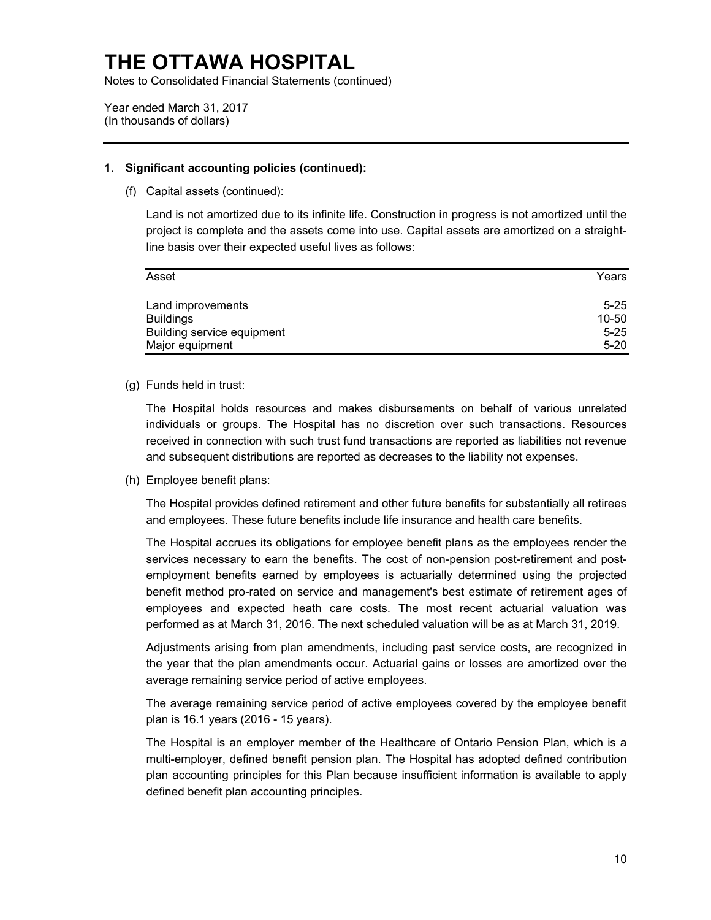Notes to Consolidated Financial Statements (continued)

Year ended March 31, 2017 (In thousands of dollars)

### **1. Significant accounting policies (continued):**

(f) Capital assets (continued):

Land is not amortized due to its infinite life. Construction in progress is not amortized until the project is complete and the assets come into use. Capital assets are amortized on a straightline basis over their expected useful lives as follows:

| Asset                      | Years     |
|----------------------------|-----------|
|                            |           |
| Land improvements          | $5 - 25$  |
| <b>Buildings</b>           | $10 - 50$ |
| Building service equipment | $5 - 25$  |
| Major equipment            | $5 - 20$  |

(g) Funds held in trust:

 The Hospital holds resources and makes disbursements on behalf of various unrelated individuals or groups. The Hospital has no discretion over such transactions. Resources received in connection with such trust fund transactions are reported as liabilities not revenue and subsequent distributions are reported as decreases to the liability not expenses.

(h) Employee benefit plans:

The Hospital provides defined retirement and other future benefits for substantially all retirees and employees. These future benefits include life insurance and health care benefits.

 The Hospital accrues its obligations for employee benefit plans as the employees render the services necessary to earn the benefits. The cost of non-pension post-retirement and postemployment benefits earned by employees is actuarially determined using the projected benefit method pro-rated on service and management's best estimate of retirement ages of employees and expected heath care costs. The most recent actuarial valuation was performed as at March 31, 2016. The next scheduled valuation will be as at March 31, 2019.

 Adjustments arising from plan amendments, including past service costs, are recognized in the year that the plan amendments occur. Actuarial gains or losses are amortized over the average remaining service period of active employees.

 The average remaining service period of active employees covered by the employee benefit plan is 16.1 years (2016 - 15 years).

 The Hospital is an employer member of the Healthcare of Ontario Pension Plan, which is a multi-employer, defined benefit pension plan. The Hospital has adopted defined contribution plan accounting principles for this Plan because insufficient information is available to apply defined benefit plan accounting principles.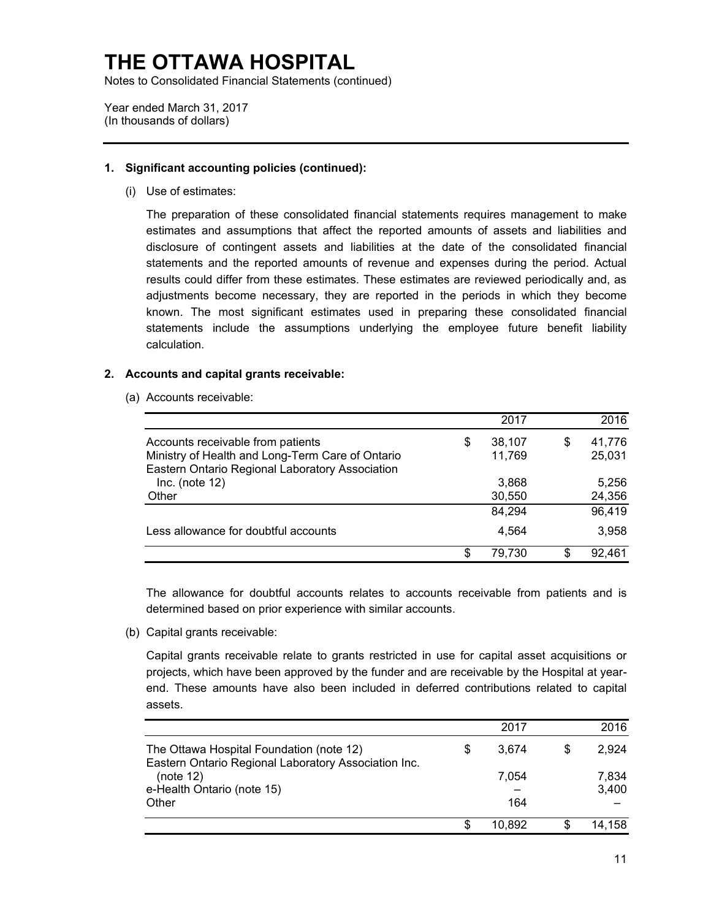Notes to Consolidated Financial Statements (continued)

Year ended March 31, 2017 (In thousands of dollars)

### **1. Significant accounting policies (continued):**

(i) Use of estimates:

 estimates and assumptions that affect the reported amounts of assets and liabilities and disclosure of contingent assets and liabilities at the date of the consolidated financial adjustments become necessary, they are reported in the periods in which they become statements include the assumptions underlying the employee future benefit liability The preparation of these consolidated financial statements requires management to make statements and the reported amounts of revenue and expenses during the period. Actual results could differ from these estimates. These estimates are reviewed periodically and, as known. The most significant estimates used in preparing these consolidated financial calculation.

### **2. Accounts and capital grants receivable:**

(a) Accounts receivable:

|                                                  | 2017         | 2016         |
|--------------------------------------------------|--------------|--------------|
| Accounts receivable from patients                | \$<br>38,107 | \$<br>41,776 |
| Ministry of Health and Long-Term Care of Ontario | 11,769       | 25,031       |
| Eastern Ontario Regional Laboratory Association  |              |              |
| Inc. (note $12$ )                                | 3,868        | 5,256        |
| Other                                            | 30,550       | 24,356       |
|                                                  | 84,294       | 96,419       |
| Less allowance for doubtful accounts             | 4,564        | 3,958        |
|                                                  | \$<br>79.730 | 92,461       |

The allowance for doubtful accounts relates to accounts receivable from patients and is determined based on prior experience with similar accounts.

(b) Capital grants receivable:

 Capital grants receivable relate to grants restricted in use for capital asset acquisitions or projects, which have been approved by the funder and are receivable by the Hospital at yearend. These amounts have also been included in deferred contributions related to capital assets.

|                                                                                                  |   | 2017   | 2016           |
|--------------------------------------------------------------------------------------------------|---|--------|----------------|
| The Ottawa Hospital Foundation (note 12)<br>Eastern Ontario Regional Laboratory Association Inc. | S | 3.674  | 2.924          |
| (note 12)<br>e-Health Ontario (note 15)                                                          |   | 7.054  | 7,834<br>3,400 |
| Other                                                                                            |   | 164    |                |
|                                                                                                  |   | 10.892 | 14,158         |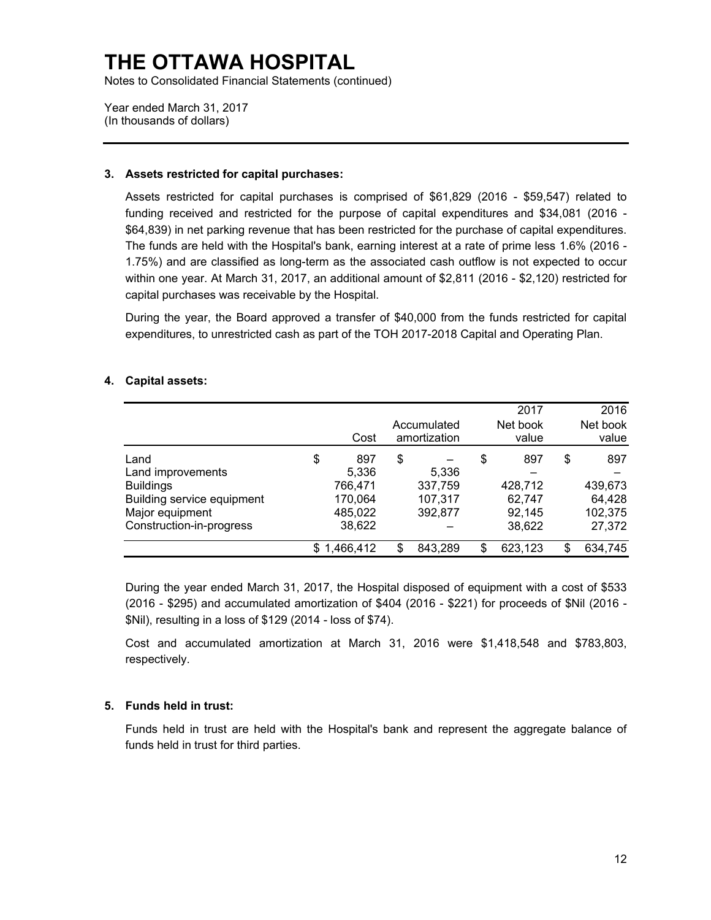Notes to Consolidated Financial Statements (continued)

Year ended March 31, 2017 (In thousands of dollars)

### **3. Assets restricted for capital purchases:**

 Assets restricted for capital purchases is comprised of \$61,829 (2016 - \$59,547) related to funding received and restricted for the purpose of capital expenditures and \$34,081 (2016 - 1.75%) and are classified as long-term as the associated cash outflow is not expected to occur within one year. At March 31, 2017, an additional amount of \$2,811 (2016 - \$2,120) restricted for \$64,839) in net parking revenue that has been restricted for the purchase of capital expenditures. The funds are held with the Hospital's bank, earning interest at a rate of prime less 1.6% (2016 capital purchases was receivable by the Hospital.

 During the year, the Board approved a transfer of \$40,000 from the funds restricted for capital expenditures, to unrestricted cash as part of the TOH 2017-2018 Capital and Operating Plan.

### **4. Capital assets:**

|                                               | Cost               | Accumulated<br>amortization | 2017<br>Net book<br>value | 2016<br>Net book<br>value |
|-----------------------------------------------|--------------------|-----------------------------|---------------------------|---------------------------|
| Land<br>Land improvements                     | \$<br>897<br>5.336 | \$<br>5,336                 | \$<br>897                 | \$<br>897                 |
| <b>Buildings</b>                              | 766,471            | 337,759                     | 428,712                   | 439,673                   |
| Building service equipment<br>Major equipment | 170,064<br>485,022 | 107,317<br>392,877          | 62,747<br>92,145          | 64,428<br>102,375         |
| Construction-in-progress                      | 38,622             |                             | 38,622                    | 27,372                    |
|                                               | \$<br>1,466,412    | \$<br>843,289               | \$<br>623,123             | \$<br>634,745             |

 (2016 - \$295) and accumulated amortization of \$404 (2016 - \$221) for proceeds of \$Nil (2016 - During the year ended March 31, 2017, the Hospital disposed of equipment with a cost of \$533 \$Nil), resulting in a loss of \$129 (2014 - loss of \$74).

Cost and accumulated amortization at March 31, 2016 were \$1,418,548 and \$783,803, respectively.

### **5. Funds held in trust:**

 Funds held in trust are held with the Hospital's bank and represent the aggregate balance of funds held in trust for third parties.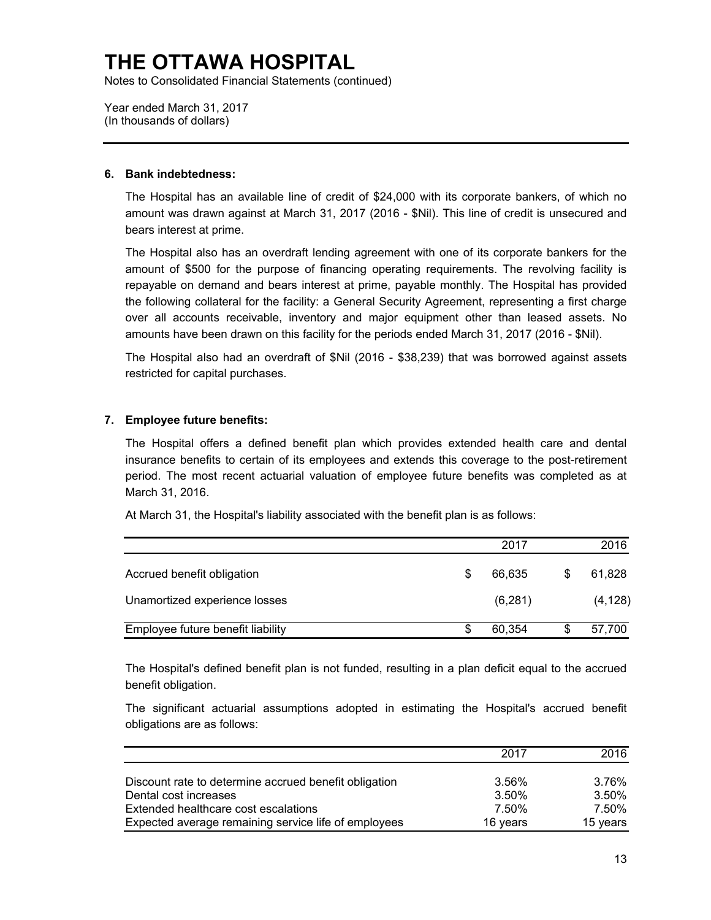Notes to Consolidated Financial Statements (continued)

Year ended March 31, 2017 (In thousands of dollars)

### **6. Bank indebtedness:**

 The Hospital has an available line of credit of \$24,000 with its corporate bankers, of which no amount was drawn against at March 31, 2017 (2016 - \$Nil). This line of credit is unsecured and bears interest at prime.

 The Hospital also has an overdraft lending agreement with one of its corporate bankers for the repayable on demand and bears interest at prime, payable monthly. The Hospital has provided amounts have been drawn on this facility for the periods ended March 31, 2017 (2016 - \$Nil). amount of \$500 for the purpose of financing operating requirements. The revolving facility is the following collateral for the facility: a General Security Agreement, representing a first charge over all accounts receivable, inventory and major equipment other than leased assets. No

 The Hospital also had an overdraft of \$Nil (2016 - \$38,239) that was borrowed against assets restricted for capital purchases.

### **7. Employee future benefits:**

The Hospital offers a defined benefit plan which provides extended health care and dental insurance benefits to certain of its employees and extends this coverage to the post-retirement period. The most recent actuarial valuation of employee future benefits was completed as at March 31, 2016.

At March 31, the Hospital's liability associated with the benefit plan is as follows:

|                                   |    | 2017    |   | 2016     |
|-----------------------------------|----|---------|---|----------|
| Accrued benefit obligation        | \$ | 66,635  | S | 61,828   |
| Unamortized experience losses     |    | (6,281) |   | (4, 128) |
| Employee future benefit liability | S  | 60.354  |   | 57,700   |

The Hospital's defined benefit plan is not funded, resulting in a plan deficit equal to the accrued benefit obligation.

The significant actuarial assumptions adopted in estimating the Hospital's accrued benefit obligations are as follows:

|                                                       | 2017     | 2016     |
|-------------------------------------------------------|----------|----------|
| Discount rate to determine accrued benefit obligation | 3.56%    | 3.76%    |
| Dental cost increases                                 | 3.50%    | 3.50%    |
| Extended healthcare cost escalations                  | 7.50%    | 7.50%    |
| Expected average remaining service life of employees  | 16 years | 15 years |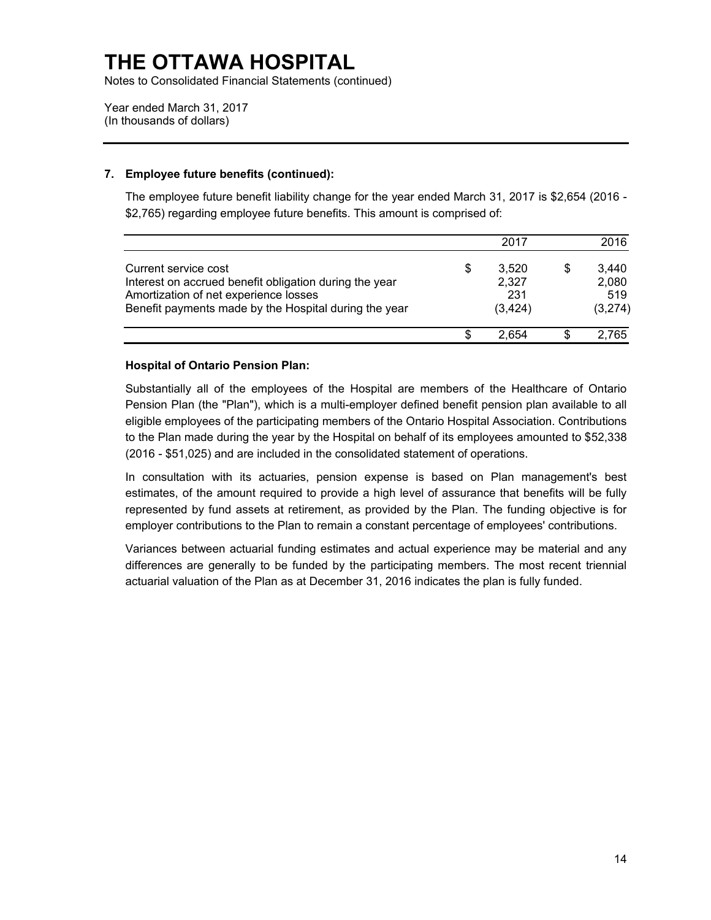Notes to Consolidated Financial Statements (continued)

Year ended March 31, 2017 (In thousands of dollars)

### **7. Employee future benefits (continued):**

 The employee future benefit liability change for the year ended March 31, 2017 is \$2,654 (2016 - \$2,765) regarding employee future benefits. This amount is comprised of:

|                                                                                                                                                                                  |    | 2017                              | 2016                             |
|----------------------------------------------------------------------------------------------------------------------------------------------------------------------------------|----|-----------------------------------|----------------------------------|
| Current service cost<br>Interest on accrued benefit obligation during the year<br>Amortization of net experience losses<br>Benefit payments made by the Hospital during the year | \$ | 3,520<br>2,327<br>231<br>(3, 424) | 3.440<br>2,080<br>519<br>(3,274) |
|                                                                                                                                                                                  | S  | 2.654                             | 2,765                            |

### **Hospital of Ontario Pension Plan:**

 Substantially all of the employees of the Hospital are members of the Healthcare of Ontario Pension Plan (the "Plan"), which is a multi-employer defined benefit pension plan available to all eligible employees of the participating members of the Ontario Hospital Association. Contributions to the Plan made during the year by the Hospital on behalf of its employees amounted to \$52,338 (2016 - \$51,025) and are included in the consolidated statement of operations.

 In consultation with its actuaries, pension expense is based on Plan management's best estimates, of the amount required to provide a high level of assurance that benefits will be fully represented by fund assets at retirement, as provided by the Plan. The funding objective is for employer contributions to the Plan to remain a constant percentage of employees' contributions.

 Variances between actuarial funding estimates and actual experience may be material and any differences are generally to be funded by the participating members. The most recent triennial actuarial valuation of the Plan as at December 31, 2016 indicates the plan is fully funded.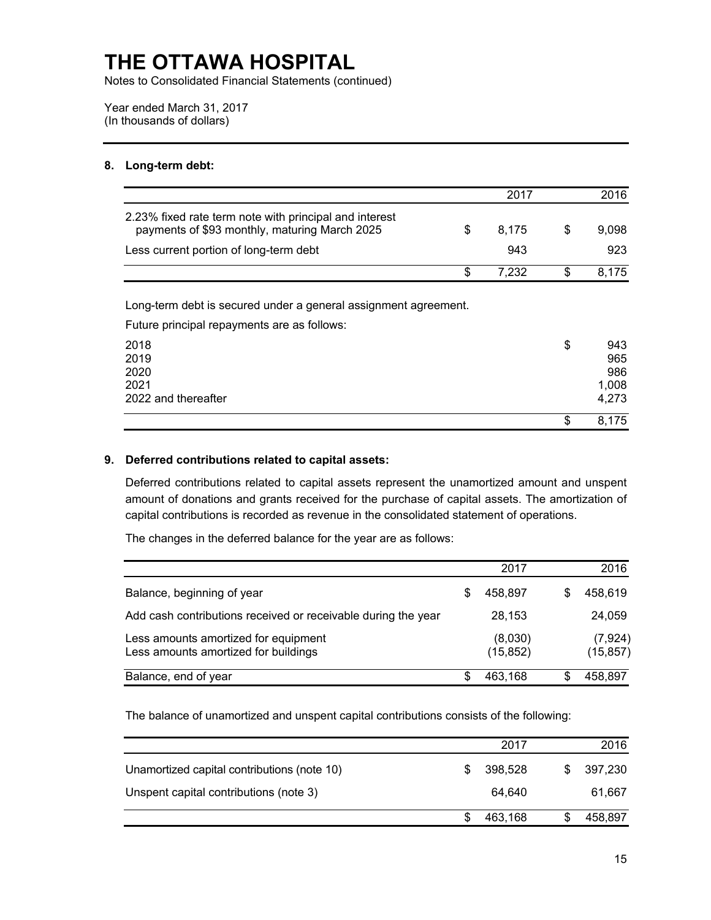Notes to Consolidated Financial Statements (continued)

Year ended March 31, 2017 (In thousands of dollars)

### **8. Long-term debt:**

|                                                                                                         | 2017  |     | 2016  |
|---------------------------------------------------------------------------------------------------------|-------|-----|-------|
| 2.23% fixed rate term note with principal and interest<br>payments of \$93 monthly, maturing March 2025 | 8.175 | \$. | 9,098 |
| Less current portion of long-term debt                                                                  | 943   |     | 923   |
|                                                                                                         | 7.232 |     | 8.175 |

Long-term debt is secured under a general assignment agreement.

Future principal repayments are as follows:

| 2018<br>2019        | \$ | 943<br>965 |
|---------------------|----|------------|
| 2020                |    | 986        |
| 2021                |    | 1,008      |
| 2022 and thereafter |    | 4,273      |
|                     | S  | 8,175      |

### **9. Deferred contributions related to capital assets:**

Deferred contributions related to capital assets represent the unamortized amount and unspent amount of donations and grants received for the purchase of capital assets. The amortization of capital contributions is recorded as revenue in the consolidated statement of operations.

The changes in the deferred balance for the year are as follows:

|                                                                              |   | 2017                 | 2016                  |
|------------------------------------------------------------------------------|---|----------------------|-----------------------|
| Balance, beginning of year                                                   | S | 458.897              | 458.619               |
| Add cash contributions received or receivable during the year                |   | 28,153               | 24,059                |
| Less amounts amortized for equipment<br>Less amounts amortized for buildings |   | (8,030)<br>(15, 852) | (7, 924)<br>(15, 857) |
| Balance, end of year                                                         |   | 463,168              | 458,897               |

The balance of unamortized and unspent capital contributions consists of the following:

|                                             | 2017    |    | 2016    |
|---------------------------------------------|---------|----|---------|
| Unamortized capital contributions (note 10) | 398.528 | S. | 397,230 |
| Unspent capital contributions (note 3)      | 64.640  |    | 61,667  |
|                                             | 463,168 |    | 458,897 |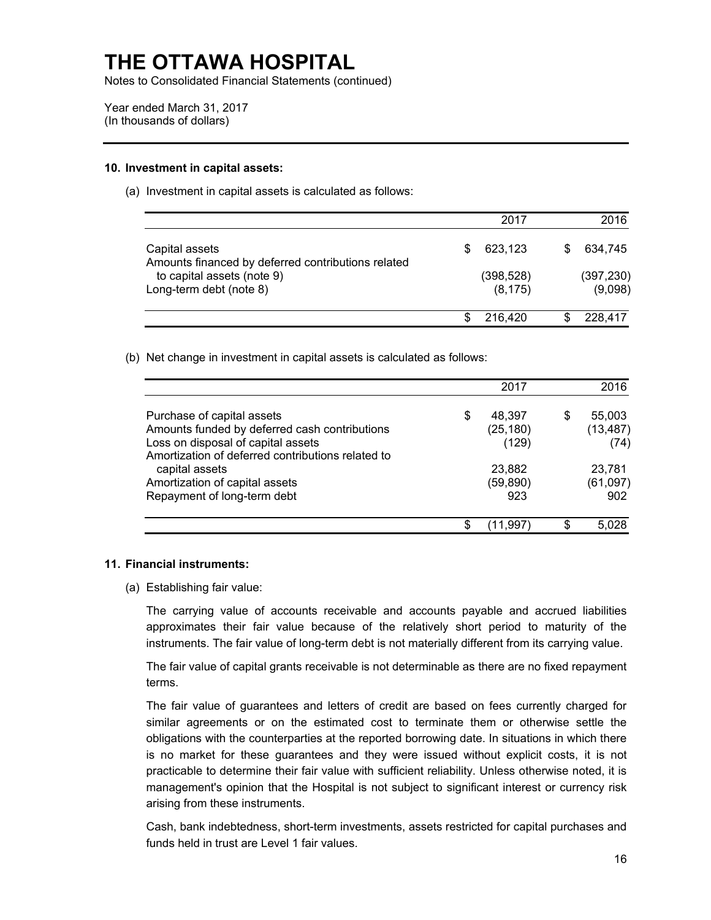Notes to Consolidated Financial Statements (continued)

Year ended March 31, 2017 (In thousands of dollars)

#### **10. Investment in capital assets:**

(a) Investment in capital assets is calculated as follows:

|                                                                      |   | 2017                   | 2016                  |
|----------------------------------------------------------------------|---|------------------------|-----------------------|
| Capital assets<br>Amounts financed by deferred contributions related | S | 623.123                | 634,745               |
| to capital assets (note 9)<br>Long-term debt (note 8)                |   | (398, 528)<br>(8, 175) | (397, 230)<br>(9,098) |
|                                                                      |   | 216,420                | 228.417               |

(b) Net change in investment in capital assets is calculated as follows:

|                                                                                                                                          |   | 2017               |   | 2016              |
|------------------------------------------------------------------------------------------------------------------------------------------|---|--------------------|---|-------------------|
| Purchase of capital assets                                                                                                               | S | 48,397             | S | 55,003            |
| Amounts funded by deferred cash contributions<br>Loss on disposal of capital assets<br>Amortization of deferred contributions related to |   | (25, 180)<br>(129) |   | (13, 487)<br>(74) |
| capital assets                                                                                                                           |   | 23,882             |   | 23,781            |
| Amortization of capital assets                                                                                                           |   | (59, 890)          |   | (61,097)          |
| Repayment of long-term debt                                                                                                              |   | 923                |   | 902               |
|                                                                                                                                          |   | 11.997             |   | 5.028             |

#### **11. Financial instruments:**

(a) Establishing fair value:

The carrying value of accounts receivable and accounts payable and accrued liabilities approximates their fair value because of the relatively short period to maturity of the instruments. The fair value of long-term debt is not materially different from its carrying value.

The fair value of capital grants receivable is not determinable as there are no fixed repayment terms.

 The fair value of guarantees and letters of credit are based on fees currently charged for similar agreements or on the estimated cost to terminate them or otherwise settle the is no market for these guarantees and they were issued without explicit costs, it is not practicable to determine their fair value with sufficient reliability. Unless otherwise noted, it is obligations with the counterparties at the reported borrowing date. In situations in which there management's opinion that the Hospital is not subject to significant interest or currency risk arising from these instruments.

Cash, bank indebtedness, short-term investments, assets restricted for capital purchases and funds held in trust are Level 1 fair values.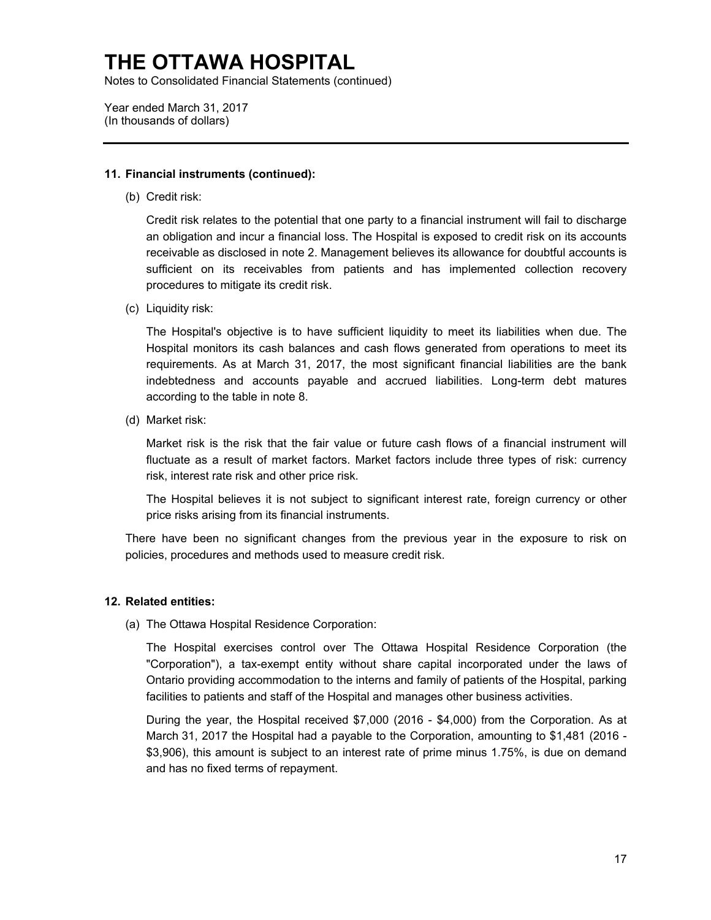Notes to Consolidated Financial Statements (continued)

Year ended March 31, 2017 (In thousands of dollars)

#### **11. Financial instruments (continued):**

(b) Credit risk:

 Credit risk relates to the potential that one party to a financial instrument will fail to discharge receivable as disclosed in note 2. Management believes its allowance for doubtful accounts is sufficient on its receivables from patients and has implemented collection recovery an obligation and incur a financial loss. The Hospital is exposed to credit risk on its accounts procedures to mitigate its credit risk.

(c) Liquidity risk:

 The Hospital's objective is to have sufficient liquidity to meet its liabilities when due. The Hospital monitors its cash balances and cash flows generated from operations to meet its requirements. As at March 31, 2017, the most significant financial liabilities are the bank indebtedness and accounts payable and accrued liabilities. Long-term debt matures according to the table in note 8.

(d) Market risk:

Market risk is the risk that the fair value or future cash flows of a financial instrument will fluctuate as a result of market factors. Market factors include three types of risk: currency risk, interest rate risk and other price risk.

 The Hospital believes it is not subject to significant interest rate, foreign currency or other price risks arising from its financial instruments.

 There have been no significant changes from the previous year in the exposure to risk on policies, procedures and methods used to measure credit risk.

#### **12. Related entities:**

(a) The Ottawa Hospital Residence Corporation:

 "Corporation"), a tax-exempt entity without share capital incorporated under the laws of Ontario providing accommodation to the interns and family of patients of the Hospital, parking The Hospital exercises control over The Ottawa Hospital Residence Corporation (the facilities to patients and staff of the Hospital and manages other business activities.

 During the year, the Hospital received \$7,000 (2016 - \$4,000) from the Corporation. As at March 31, 2017 the Hospital had a payable to the Corporation, amounting to \$1,481 (2016 - \$3,906), this amount is subject to an interest rate of prime minus 1.75%, is due on demand and has no fixed terms of repayment.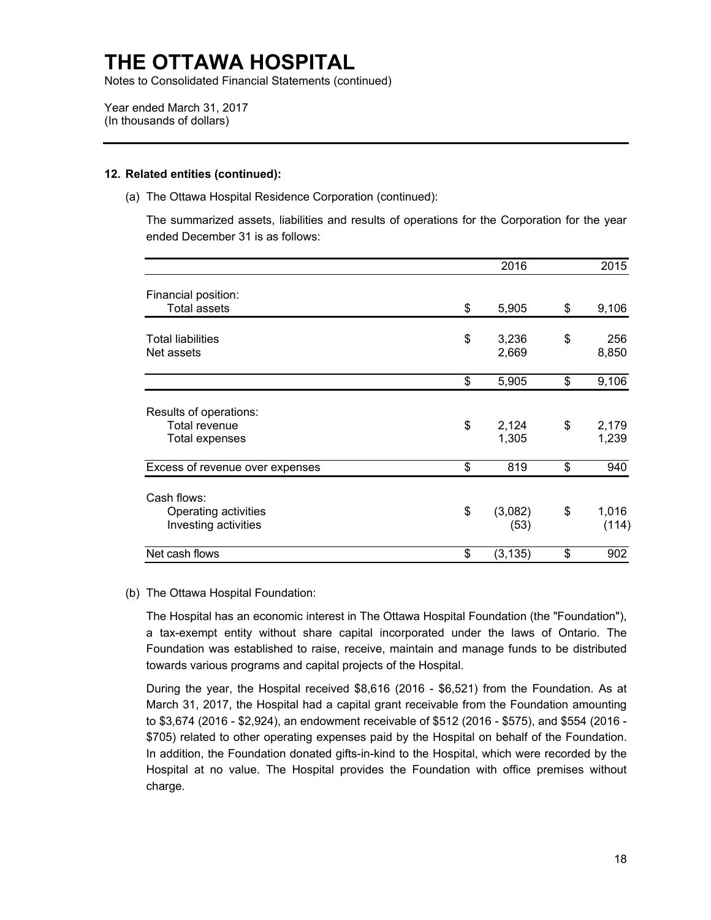Notes to Consolidated Financial Statements (continued)

Year ended March 31, 2017 (In thousands of dollars)

### **12. Related entities (continued):**

(a) The Ottawa Hospital Residence Corporation (continued):

 The summarized assets, liabilities and results of operations for the Corporation for the year ended December 31 is as follows:

|                                                             | 2016                  | 2015                 |
|-------------------------------------------------------------|-----------------------|----------------------|
| Financial position:<br><b>Total assets</b>                  | \$<br>5,905           | \$<br>9,106          |
| <b>Total liabilities</b><br>Net assets                      | \$<br>3,236<br>2,669  | \$<br>256<br>8,850   |
|                                                             | \$<br>5,905           | \$<br>9,106          |
| Results of operations:<br>Total revenue<br>Total expenses   | \$<br>2,124<br>1,305  | \$<br>2,179<br>1,239 |
| Excess of revenue over expenses                             | \$<br>819             | \$<br>940            |
| Cash flows:<br>Operating activities<br>Investing activities | \$<br>(3,082)<br>(53) | \$<br>1,016<br>(114) |
| Net cash flows                                              | \$<br>(3, 135)        | \$<br>902            |

### (b) The Ottawa Hospital Foundation:

 a tax-exempt entity without share capital incorporated under the laws of Ontario. The The Hospital has an economic interest in The Ottawa Hospital Foundation (the "Foundation"), Foundation was established to raise, receive, maintain and manage funds to be distributed towards various programs and capital projects of the Hospital.

 During the year, the Hospital received \$8,616 (2016 - \$6,521) from the Foundation. As at to \$3,674 (2016 - \$2,924), an endowment receivable of \$512 (2016 - \$575), and \$554 (2016 - Hospital at no value. The Hospital provides the Foundation with office premises without March 31, 2017, the Hospital had a capital grant receivable from the Foundation amounting \$705) related to other operating expenses paid by the Hospital on behalf of the Foundation. In addition, the Foundation donated gifts-in-kind to the Hospital, which were recorded by the charge.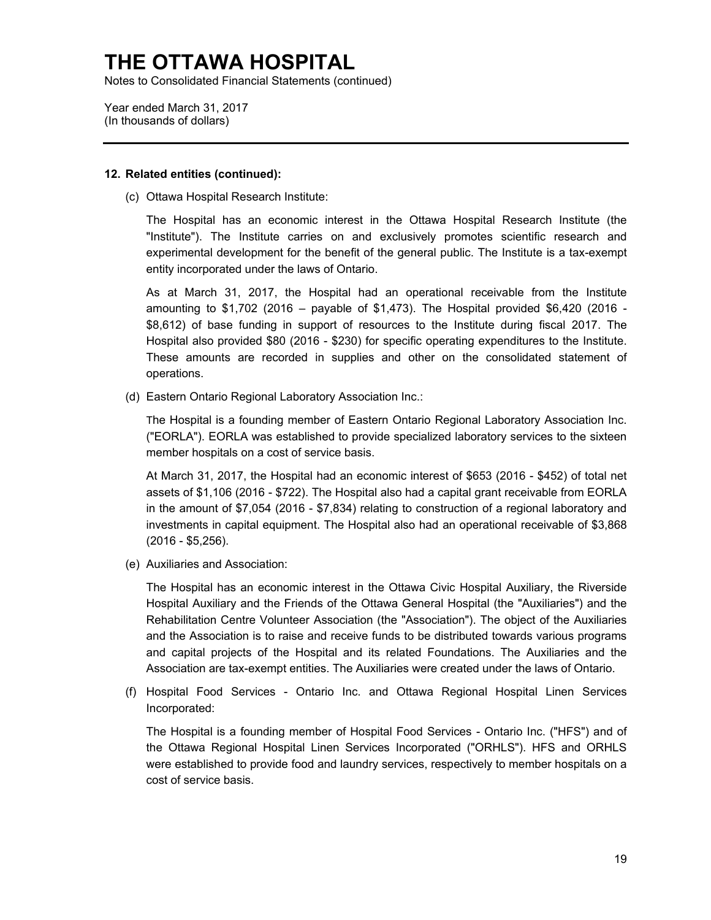Notes to Consolidated Financial Statements (continued)

Year ended March 31, 2017 (In thousands of dollars)

#### **12. Related entities (continued):**

(c) Ottawa Hospital Research Institute:

 The Hospital has an economic interest in the Ottawa Hospital Research Institute (the "Institute"). The Institute carries on and exclusively promotes scientific research and experimental development for the benefit of the general public. The Institute is a tax-exempt entity incorporated under the laws of Ontario.

 As at March 31, 2017, the Hospital had an operational receivable from the Institute amounting to \$1,702 (2016 – payable of \$1,473). The Hospital provided \$6,420 (2016 - Hospital also provided \$80 (2016 - \$230) for specific operating expenditures to the Institute. These amounts are recorded in supplies and other on the consolidated statement of \$8,612) of base funding in support of resources to the Institute during fiscal 2017. The operations.

(d) Eastern Ontario Regional Laboratory Association Inc.:

The Hospital is a founding member of Eastern Ontario Regional Laboratory Association Inc. ("EORLA"). EORLA was established to provide specialized laboratory services to the sixteen member hospitals on a cost of service basis.

 At March 31, 2017, the Hospital had an economic interest of \$653 (2016 - \$452) of total net assets of \$1,106 (2016 - \$722). The Hospital also had a capital grant receivable from EORLA in the amount of \$7,054 (2016 - \$7,834) relating to construction of a regional laboratory and investments in capital equipment. The Hospital also had an operational receivable of \$3,868 (2016 - \$5,256).

(e) Auxiliaries and Association:

 Hospital Auxiliary and the Friends of the Ottawa General Hospital (the "Auxiliaries") and the Association are tax-exempt entities. The Auxiliaries were created under the laws of Ontario. The Hospital has an economic interest in the Ottawa Civic Hospital Auxiliary, the Riverside Rehabilitation Centre Volunteer Association (the "Association"). The object of the Auxiliaries and the Association is to raise and receive funds to be distributed towards various programs and capital projects of the Hospital and its related Foundations. The Auxiliaries and the

(f) Hospital Food Services - Ontario Inc. and Ottawa Regional Hospital Linen Services Incorporated:

 The Hospital is a founding member of Hospital Food Services - Ontario Inc. ("HFS") and of were established to provide food and laundry services, respectively to member hospitals on a the Ottawa Regional Hospital Linen Services Incorporated ("ORHLS"). HFS and ORHLS cost of service basis.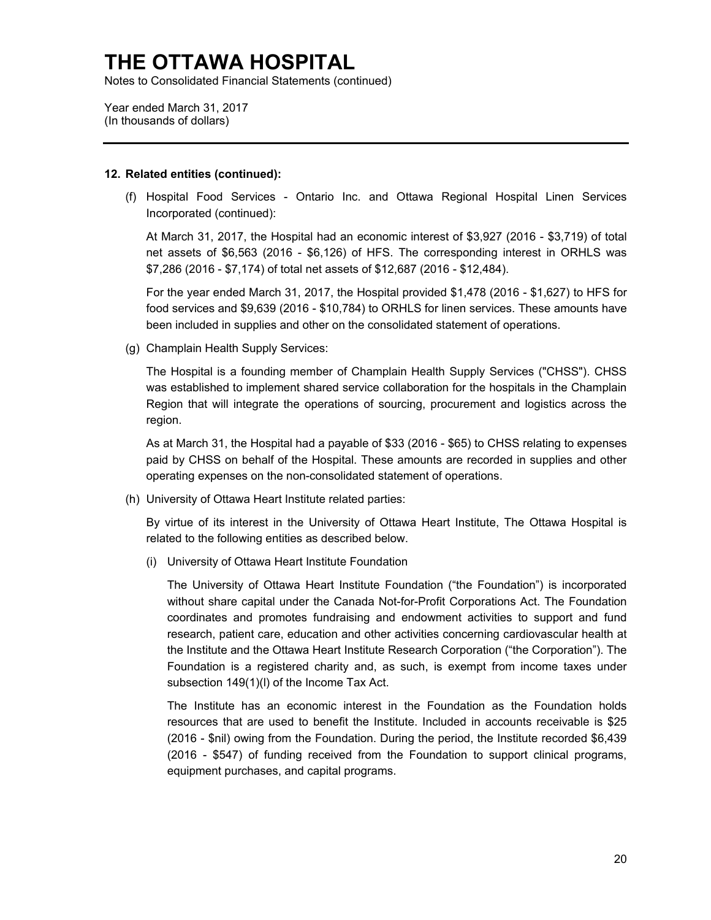Notes to Consolidated Financial Statements (continued)

Year ended March 31, 2017 (In thousands of dollars)

#### **12. Related entities (continued):**

(f) Hospital Food Services - Ontario Inc. and Ottawa Regional Hospital Linen Services Incorporated (continued):

 At March 31, 2017, the Hospital had an economic interest of \$3,927 (2016 - \$3,719) of total net assets of \$6,563 (2016 - \$6,126) of HFS. The corresponding interest in ORHLS was \$7,286 (2016 - \$7,174) of total net assets of \$12,687 (2016 - \$12,484).

 For the year ended March 31, 2017, the Hospital provided \$1,478 (2016 - \$1,627) to HFS for food services and \$9,639 (2016 - \$10,784) to ORHLS for linen services. These amounts have been included in supplies and other on the consolidated statement of operations.

(g) Champlain Health Supply Services:

The Hospital is a founding member of Champlain Health Supply Services ("CHSS"). CHSS was established to implement shared service collaboration for the hospitals in the Champlain Region that will integrate the operations of sourcing, procurement and logistics across the region.

 As at March 31, the Hospital had a payable of \$33 (2016 - \$65) to CHSS relating to expenses paid by CHSS on behalf of the Hospital. These amounts are recorded in supplies and other operating expenses on the non-consolidated statement of operations.

(h) University of Ottawa Heart Institute related parties:

By virtue of its interest in the University of Ottawa Heart Institute, The Ottawa Hospital is related to the following entities as described below.

(i) University of Ottawa Heart Institute Foundation

 without share capital under the Canada Not-for-Profit Corporations Act. The Foundation coordinates and promotes fundraising and endowment activities to support and fund research, patient care, education and other activities concerning cardiovascular health at Foundation is a registered charity and, as such, is exempt from income taxes under subsection 149(1)(l) of the Income Tax Act. The University of Ottawa Heart Institute Foundation ("the Foundation") is incorporated the Institute and the Ottawa Heart Institute Research Corporation ("the Corporation"). The

 The Institute has an economic interest in the Foundation as the Foundation holds resources that are used to benefit the Institute. Included in accounts receivable is \$25 (2016 - \$547) of funding received from the Foundation to support clinical programs, (2016 - \$nil) owing from the Foundation. During the period, the Institute recorded \$6,439 equipment purchases, and capital programs.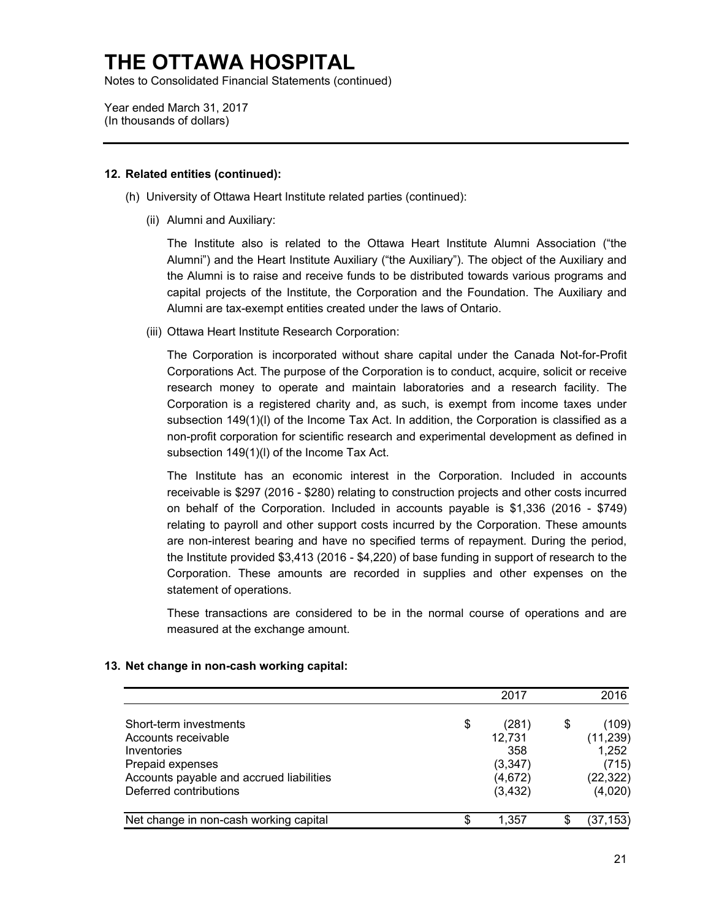Notes to Consolidated Financial Statements (continued)

Year ended March 31, 2017 (In thousands of dollars)

### **12. Related entities (continued):**

- (h) University of Ottawa Heart Institute related parties (continued):
	- (ii) Alumni and Auxiliary:

 the Alumni is to raise and receive funds to be distributed towards various programs and The Institute also is related to the Ottawa Heart Institute Alumni Association ("the Alumni") and the Heart Institute Auxiliary ("the Auxiliary"). The object of the Auxiliary and capital projects of the Institute, the Corporation and the Foundation. The Auxiliary and Alumni are tax-exempt entities created under the laws of Ontario.

(iii) Ottawa Heart Institute Research Corporation:

 research money to operate and maintain laboratories and a research facility. The Corporation is a registered charity and, as such, is exempt from income taxes under subsection 149(1)(l) of the Income Tax Act. In addition, the Corporation is classified as a non-profit corporation for scientific research and experimental development as defined in subsection 149(1)(l) of the Income Tax Act. The Corporation is incorporated without share capital under the Canada Not-for-Profit Corporations Act. The purpose of the Corporation is to conduct, acquire, solicit or receive

 The Institute has an economic interest in the Corporation. Included in accounts receivable is \$297 (2016 - \$280) relating to construction projects and other costs incurred relating to payroll and other support costs incurred by the Corporation. These amounts the Institute provided \$3,413 (2016 - \$4,220) of base funding in support of research to the Corporation. These amounts are recorded in supplies and other expenses on the on behalf of the Corporation. Included in accounts payable is \$1,336 (2016 - \$749) are non-interest bearing and have no specified terms of repayment. During the period, statement of operations.

These transactions are considered to be in the normal course of operations and are measured at the exchange amount.

|                                          |    | 2017     | 2016        |
|------------------------------------------|----|----------|-------------|
| Short-term investments                   | \$ | (281)    | \$<br>(109) |
| Accounts receivable                      |    | 12,731   | (11, 239)   |
| Inventories                              |    | 358      | 1,252       |
| Prepaid expenses                         |    | (3, 347) | (715)       |
| Accounts payable and accrued liabilities |    | (4,672)  | (22, 322)   |
| Deferred contributions                   |    | (3, 432) | (4,020)     |
| Net change in non-cash working capital   | S  | 1.357    | (37,153)    |

### **13. Net change in non-cash working capital:**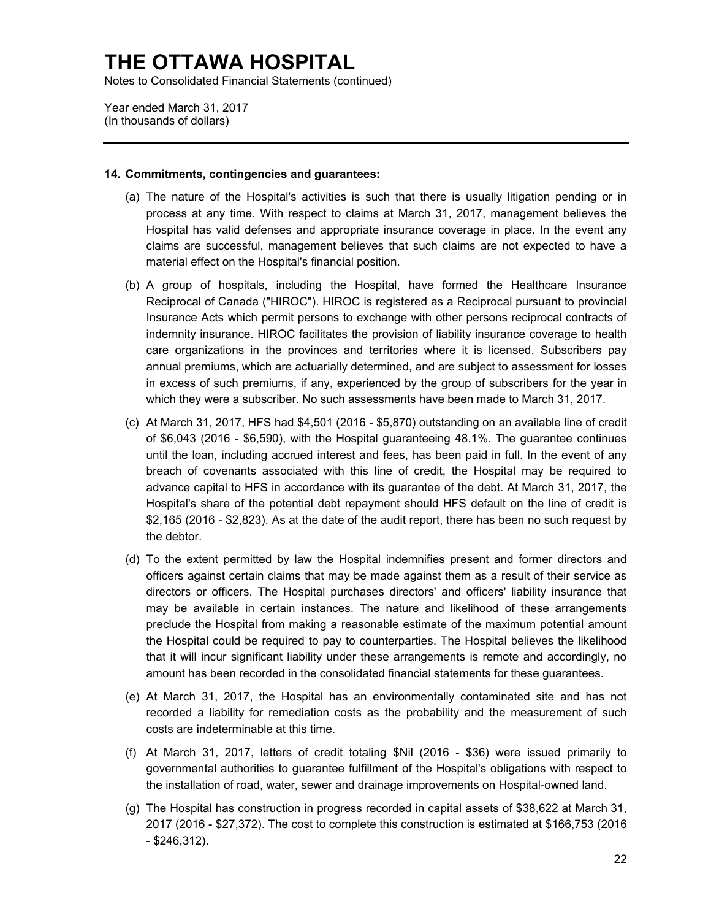Notes to Consolidated Financial Statements (continued)

 Year ended March 31, 2017 (In thousands of dollars)

#### **14. Commitments, contingencies and guarantees:**

- (a) The nature of the Hospital's activities is such that there is usually litigation pending or in process at any time. With respect to claims at March 31, 2017, management believes the Hospital has valid defenses and appropriate insurance coverage in place. In the event any claims are successful, management believes that such claims are not expected to have a material effect on the Hospital's financial position.
- (b) A group of hospitals, including the Hospital, have formed the Healthcare Insurance Reciprocal of Canada ("HIROC"). HIROC is registered as a Reciprocal pursuant to provincial indemnity insurance. HIROC facilitates the provision of liability insurance coverage to health care organizations in the provinces and territories where it is licensed. Subscribers pay annual premiums, which are actuarially determined, and are subject to assessment for losses which they were a subscriber. No such assessments have been made to March 31, 2017. Insurance Acts which permit persons to exchange with other persons reciprocal contracts of in excess of such premiums, if any, experienced by the group of subscribers for the year in
- (c) At March 31, 2017, HFS had \$4,501 (2016 \$5,870) outstanding on an available line of credit of \$6,043 (2016 - \$6,590), with the Hospital guaranteeing 48.1%. The guarantee continues until the loan, including accrued interest and fees, has been paid in full. In the event of any advance capital to HFS in accordance with its guarantee of the debt. At March 31, 2017, the \$2,165 (2016 - \$2,823). As at the date of the audit report, there has been no such request by breach of covenants associated with this line of credit, the Hospital may be required to Hospital's share of the potential debt repayment should HFS default on the line of credit is the debtor.
- directors or officers. The Hospital purchases directors' and officers' liability insurance that preclude the Hospital from making a reasonable estimate of the maximum potential amount that it will incur significant liability under these arrangements is remote and accordingly, no (d) To the extent permitted by law the Hospital indemnifies present and former directors and officers against certain claims that may be made against them as a result of their service as may be available in certain instances. The nature and likelihood of these arrangements the Hospital could be required to pay to counterparties. The Hospital believes the likelihood amount has been recorded in the consolidated financial statements for these guarantees.
- (e) At March 31, 2017, the Hospital has an environmentally contaminated site and has not recorded a liability for remediation costs as the probability and the measurement of such costs are indeterminable at this time.
- (f) At March 31, 2017, letters of credit totaling \$Nil (2016 \$36) were issued primarily to governmental authorities to guarantee fulfillment of the Hospital's obligations with respect to the installation of road, water, sewer and drainage improvements on Hospital-owned land.
- (g) The Hospital has construction in progress recorded in capital assets of \$38,622 at March 31, 2017 (2016 - \$27,372). The cost to complete this construction is estimated at \$166,753 (2016 - \$246,312).